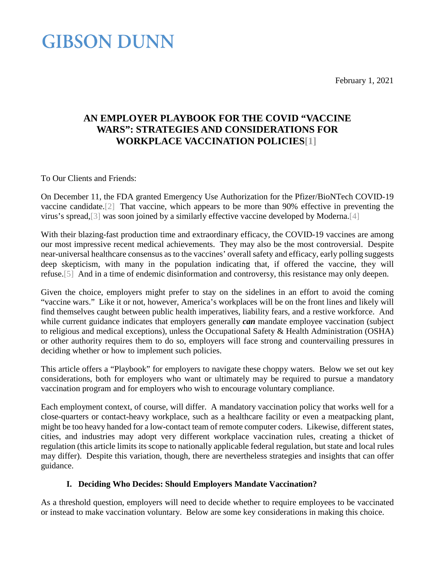February 1, 2021

### **GIBSON DUNN**

### **AN EMPLOYER PLAYBOOK FOR THE COVID "VACCINE WARS": STRATEGIES AND CONSIDERATIONS FOR WORKPLACE VACCINATION POLICIE[S\[1\]](#page-8-0)**

To Our Clients and Friends:

On December 11, the FDA granted Emergency Use Authorization for the Pfizer/BioNTech COVID-19 vaccine candidate[.\[2\]](#page-9-0) That vaccine, which appears to be more than 90% effective in preventing the virus's spread[,\[3\]](#page-9-1) was soon joined by a similarly effective vaccine developed by Moderna[.\[4\]](#page-9-2)

With their blazing-fast production time and extraordinary efficacy, the COVID-19 vaccines are among our most impressive recent medical achievements. They may also be the most controversial. Despite near-universal healthcare consensus as to the vaccines' overall safety and efficacy, early polling suggests deep skepticism, with many in the population indicating that, if offered the vaccine, they will refuse[.\[5\]](#page-9-3) And in a time of endemic disinformation and controversy, this resistance may only deepen.

Given the choice, employers might prefer to stay on the sidelines in an effort to avoid the coming "vaccine wars." Like it or not, however, America's workplaces will be on the front lines and likely will find themselves caught between public health imperatives, liability fears, and a restive workforce. And while current guidance indicates that employers generally *can* mandate employee vaccination (subject to religious and medical exceptions), unless the Occupational Safety & Health Administration (OSHA) or other authority requires them to do so, employers will face strong and countervailing pressures in deciding whether or how to implement such policies.

This article offers a "Playbook" for employers to navigate these choppy waters. Below we set out key considerations, both for employers who want or ultimately may be required to pursue a mandatory vaccination program and for employers who wish to encourage voluntary compliance.

Each employment context, of course, will differ. A mandatory vaccination policy that works well for a close-quarters or contact-heavy workplace, such as a healthcare facility or even a meatpacking plant, might be too heavy handed for a low-contact team of remote computer coders. Likewise, different states, cities, and industries may adopt very different workplace vaccination rules, creating a thicket of regulation (this article limits its scope to nationally applicable federal regulation, but state and local rules may differ). Despite this variation, though, there are nevertheless strategies and insights that can offer guidance.

### **I. Deciding Who Decides: Should Employers Mandate Vaccination?**

As a threshold question, employers will need to decide whether to require employees to be vaccinated or instead to make vaccination voluntary. Below are some key considerations in making this choice.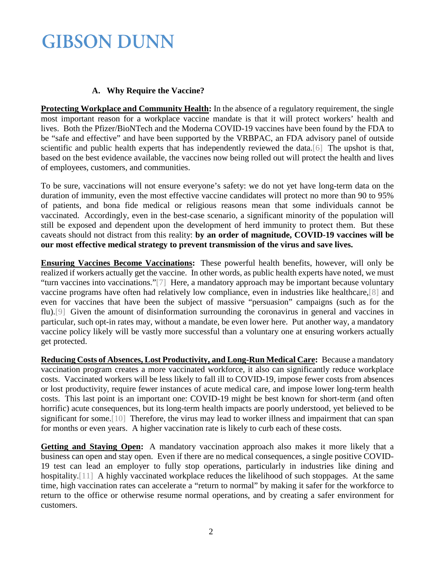#### **A. Why Require the Vaccine?**

**Protecting Workplace and Community Health:** In the absence of a regulatory requirement, the single most important reason for a workplace vaccine mandate is that it will protect workers' health and lives. Both the Pfizer/BioNTech and the Moderna COVID-19 vaccines have been found by the FDA to be "safe and effective" and have been supported by the VRBPAC, an FDA advisory panel of outside scientific and public health experts that has independently reviewed the data[.\[6\]](#page-9-4) The upshot is that, based on the best evidence available, the vaccines now being rolled out will protect the health and lives of employees, customers, and communities.

To be sure, vaccinations will not ensure everyone's safety: we do not yet have long-term data on the duration of immunity, even the most effective vaccine candidates will protect no more than 90 to 95% of patients, and bona fide medical or religious reasons mean that some individuals cannot be vaccinated. Accordingly, even in the best-case scenario, a significant minority of the population will still be exposed and dependent upon the development of herd immunity to protect them. But these caveats should not distract from this reality: **by an order of magnitude, COVID-19 vaccines will be our most effective medical strategy to prevent transmission of the virus and save lives.**

**Ensuring Vaccines Become Vaccinations:** These powerful health benefits, however, will only be realized if workers actually get the vaccine. In other words, as public health experts have noted, we must "turn vaccines into vaccinations.["\[7\]](#page-9-5) Here, a mandatory approach may be important because voluntary vaccine programs have often had relatively low compliance, even in industries like healthcare[,\[8\]](#page-9-6) and even for vaccines that have been the subject of massive "persuasion" campaigns (such as for the flu)[.\[9\]](#page-9-7) Given the amount of disinformation surrounding the coronavirus in general and vaccines in particular, such opt-in rates may, without a mandate, be even lower here. Put another way, a mandatory vaccine policy likely will be vastly more successful than a voluntary one at ensuring workers actually get protected.

**Reducing Costs of Absences, Lost Productivity, and Long-Run Medical Care:** Because a mandatory vaccination program creates a more vaccinated workforce, it also can significantly reduce workplace costs. Vaccinated workers will be less likely to fall ill to COVID-19, impose fewer costs from absences or lost productivity, require fewer instances of acute medical care, and impose lower long-term health costs. This last point is an important one: COVID-19 might be best known for short-term (and often horrific) acute consequences, but its long-term health impacts are poorly understood, yet believed to be significant for some[.\[10\]](#page-9-8) Therefore, the virus may lead to worker illness and impairment that can span for months or even years. A higher vaccination rate is likely to curb each of these costs.

**Getting and Staying Open:** A mandatory vaccination approach also makes it more likely that a business can open and stay open. Even if there are no medical consequences, a single positive COVID-19 test can lead an employer to fully stop operations, particularly in industries like dining and hospitality[.\[11\]](#page-10-0) A highly vaccinated workplace reduces the likelihood of such stoppages. At the same time, high vaccination rates can accelerate a "return to normal" by making it safer for the workforce to return to the office or otherwise resume normal operations, and by creating a safer environment for customers.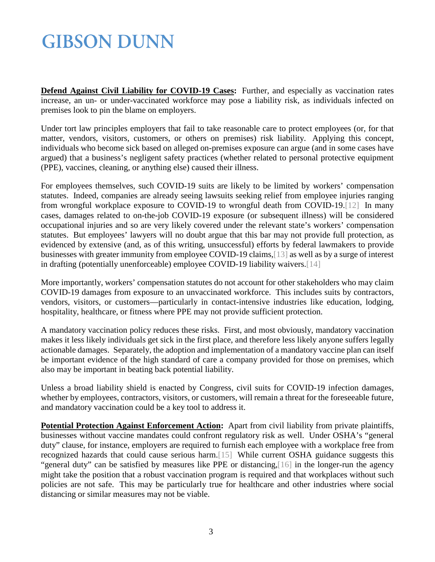**Defend Against Civil Liability for COVID-19 Cases:** Further, and especially as vaccination rates increase, an un- or under-vaccinated workforce may pose a liability risk, as individuals infected on premises look to pin the blame on employers.

Under tort law principles employers that fail to take reasonable care to protect employees (or, for that matter, vendors, visitors, customers, or others on premises) risk liability. Applying this concept, individuals who become sick based on alleged on-premises exposure can argue (and in some cases have argued) that a business's negligent safety practices (whether related to personal protective equipment (PPE), vaccines, cleaning, or anything else) caused their illness.

For employees themselves, such COVID-19 suits are likely to be limited by workers' compensation statutes. Indeed, companies are already seeing lawsuits seeking relief from employee injuries ranging from wrongful workplace exposure to COVID-19 to wrongful death from COVID-19[.\[12\]](#page-10-1) In many cases, damages related to on-the-job COVID-19 exposure (or subsequent illness) will be considered occupational injuries and so are very likely covered under the relevant state's workers' compensation statutes. But employees' lawyers will no doubt argue that this bar may not provide full protection, as evidenced by extensive (and, as of this writing, unsuccessful) efforts by federal lawmakers to provide businesses with greater immunity from employee COVID-19 claims[,\[13\]](#page-10-2) as well as by a surge of interest in drafting (potentially unenforceable) employee COVID-19 liability waivers[.\[14\]](#page-10-3)

More importantly, workers' compensation statutes do not account for other stakeholders who may claim COVID-19 damages from exposure to an unvaccinated workforce. This includes suits by contractors, vendors, visitors, or customers—particularly in contact-intensive industries like education, lodging, hospitality, healthcare, or fitness where PPE may not provide sufficient protection.

A mandatory vaccination policy reduces these risks. First, and most obviously, mandatory vaccination makes it less likely individuals get sick in the first place, and therefore less likely anyone suffers legally actionable damages. Separately, the adoption and implementation of a mandatory vaccine plan can itself be important evidence of the high standard of care a company provided for those on premises, which also may be important in beating back potential liability.

Unless a broad liability shield is enacted by Congress, civil suits for COVID-19 infection damages, whether by employees, contractors, visitors, or customers, will remain a threat for the foreseeable future, and mandatory vaccination could be a key tool to address it.

**Potential Protection Against Enforcement Action:** Apart from civil liability from private plaintiffs, businesses without vaccine mandates could confront regulatory risk as well. Under OSHA's "general duty" clause, for instance, employers are required to furnish each employee with a workplace free from recognized hazards that could cause serious harm[.\[15\]](#page-10-4) While current OSHA guidance suggests this "general duty" can be satisfied by measures like PPE or distancing[,\[16\]](#page-10-5) in the longer-run the agency might take the position that a robust vaccination program is required and that workplaces without such policies are not safe. This may be particularly true for healthcare and other industries where social distancing or similar measures may not be viable.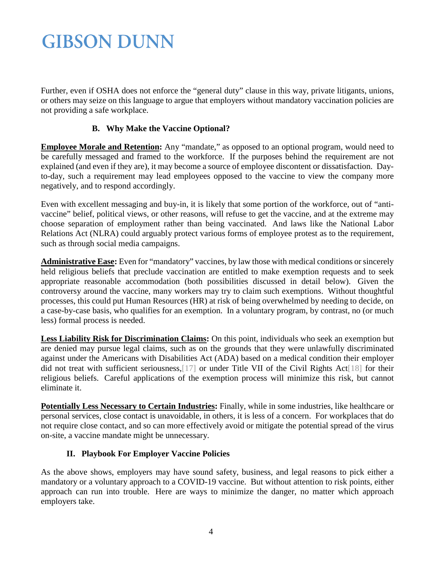Further, even if OSHA does not enforce the "general duty" clause in this way, private litigants, unions, or others may seize on this language to argue that employers without mandatory vaccination policies are not providing a safe workplace.

### **B. Why Make the Vaccine Optional?**

**Employee Morale and Retention:** Any "mandate," as opposed to an optional program, would need to be carefully messaged and framed to the workforce. If the purposes behind the requirement are not explained (and even if they are), it may become a source of employee discontent or dissatisfaction. Dayto-day, such a requirement may lead employees opposed to the vaccine to view the company more negatively, and to respond accordingly.

Even with excellent messaging and buy-in, it is likely that some portion of the workforce, out of "antivaccine" belief, political views, or other reasons, will refuse to get the vaccine, and at the extreme may choose separation of employment rather than being vaccinated. And laws like the National Labor Relations Act (NLRA) could arguably protect various forms of employee protest as to the requirement, such as through social media campaigns.

**Administrative Ease:** Even for "mandatory" vaccines, by law those with medical conditions or sincerely held religious beliefs that preclude vaccination are entitled to make exemption requests and to seek appropriate reasonable accommodation (both possibilities discussed in detail below). Given the controversy around the vaccine, many workers may try to claim such exemptions. Without thoughtful processes, this could put Human Resources (HR) at risk of being overwhelmed by needing to decide, on a case-by-case basis, who qualifies for an exemption. In a voluntary program, by contrast, no (or much less) formal process is needed.

**Less Liability Risk for Discrimination Claims:** On this point, individuals who seek an exemption but are denied may pursue legal claims, such as on the grounds that they were unlawfully discriminated against under the Americans with Disabilities Act (ADA) based on a medical condition their employer did not treat with sufficient seriousness[,\[17\]](#page-10-6) or under Title VII of the Civil Rights Ac[t\[18\]](#page-10-7) for their religious beliefs. Careful applications of the exemption process will minimize this risk, but cannot eliminate it.

**Potentially Less Necessary to Certain Industries:** Finally, while in some industries, like healthcare or personal services, close contact is unavoidable, in others, it is less of a concern. For workplaces that do not require close contact, and so can more effectively avoid or mitigate the potential spread of the virus on-site, a vaccine mandate might be unnecessary.

### **II. Playbook For Employer Vaccine Policies**

As the above shows, employers may have sound safety, business, and legal reasons to pick either a mandatory or a voluntary approach to a COVID-19 vaccine. But without attention to risk points, either approach can run into trouble. Here are ways to minimize the danger, no matter which approach employers take.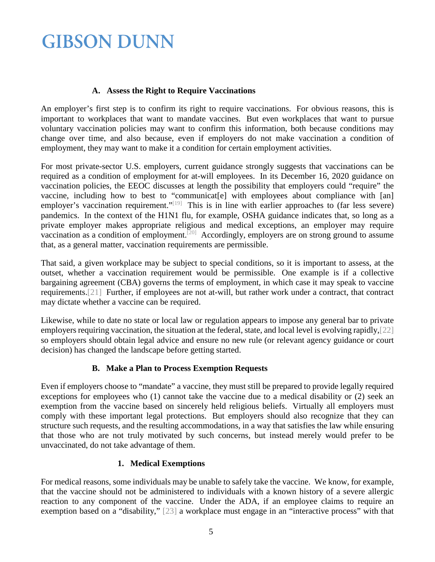#### **A. Assess the Right to Require Vaccinations**

An employer's first step is to confirm its right to require vaccinations. For obvious reasons, this is important to workplaces that want to mandate vaccines. But even workplaces that want to pursue voluntary vaccination policies may want to confirm this information, both because conditions may change over time, and also because, even if employers do not make vaccination a condition of employment, they may want to make it a condition for certain employment activities.

For most private-sector U.S. employers, current guidance strongly suggests that vaccinations can be required as a condition of employment for at-will employees. In its December 16, 2020 guidance on vaccination policies, the EEOC discusses at length the possibility that employers could "require" the vaccine, including how to best to "communicat[e] with employees about compliance with [an] employer's vaccination requirement."<sup>[19]</sup> This is in line with earlier approaches to (far less severe) pandemics. In the context of the H1N1 flu, for example, OSHA guidance indicates that, so long as a private employer makes appropriate religious and medical exceptions, an employer may require vaccination as a condition of employment.<sup>[\[20\]](#page-10-9)</sup> Accordingly, employers are on strong ground to assume that, as a general matter, vaccination requirements are permissible.

That said, a given workplace may be subject to special conditions, so it is important to assess, at the outset, whether a vaccination requirement would be permissible. One example is if a collective bargaining agreement (CBA) governs the terms of employment, in which case it may speak to vaccine requirements[.\[21\]](#page-10-10) Further, if employees are not at-will, but rather work under a contract, that contract may dictate whether a vaccine can be required.

Likewise, while to date no state or local law or regulation appears to impose any general bar to private employers requiring vaccination, the situation at the federal, state, and local level is evolving rapidly[,\[22\]](#page-11-0) so employers should obtain legal advice and ensure no new rule (or relevant agency guidance or court decision) has changed the landscape before getting started.

### **B. Make a Plan to Process Exemption Requests**

Even if employers choose to "mandate" a vaccine, they must still be prepared to provide legally required exceptions for employees who (1) cannot take the vaccine due to a medical disability or (2) seek an exemption from the vaccine based on sincerely held religious beliefs. Virtually all employers must comply with these important legal protections. But employers should also recognize that they can structure such requests, and the resulting accommodations, in a way that satisfies the law while ensuring that those who are not truly motivated by such concerns, but instead merely would prefer to be unvaccinated, do not take advantage of them.

### **1. Medical Exemptions**

For medical reasons, some individuals may be unable to safely take the vaccine. We know, for example, that the vaccine should not be administered to individuals with a known history of a severe allergic reaction to any component of the vaccine. Under the ADA, if an employee claims to require an exemption based on a "disability," [\[23\]](#page-11-1) a workplace must engage in an "interactive process" with that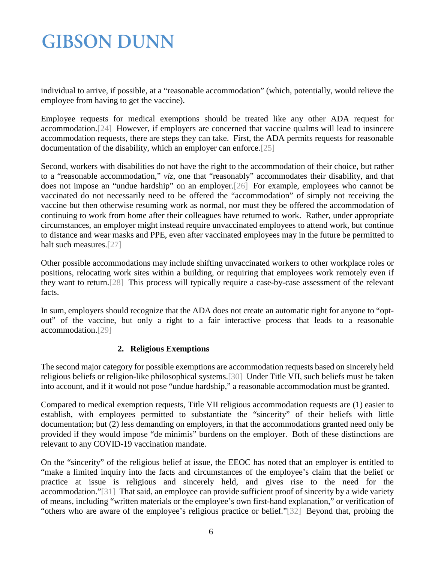individual to arrive, if possible, at a "reasonable accommodation" (which, potentially, would relieve the employee from having to get the vaccine).

Employee requests for medical exemptions should be treated like any other ADA request for accommodation[.\[24\]](#page-11-2) However, if employers are concerned that vaccine qualms will lead to insincere accommodation requests, there are steps they can take. First, the ADA permits requests for reasonable documentation of the disability, which an employer can enforce[.\[25\]](#page-11-3)

Second, workers with disabilities do not have the right to the accommodation of their choice, but rather to a "reasonable accommodation," *viz*, one that "reasonably" accommodates their disability, and that does not impose an "undue hardship" on an employer[.\[26\]](#page-11-4) For example, employees who cannot be vaccinated do not necessarily need to be offered the "accommodation" of simply not receiving the vaccine but then otherwise resuming work as normal, nor must they be offered the accommodation of continuing to work from home after their colleagues have returned to work. Rather, under appropriate circumstances, an employer might instead require unvaccinated employees to attend work, but continue to distance and wear masks and PPE, even after vaccinated employees may in the future be permitted to halt such measures[.\[27\]](#page-11-5)

Other possible accommodations may include shifting unvaccinated workers to other workplace roles or positions, relocating work sites within a building, or requiring that employees work remotely even if they want to return[.\[28\]](#page-12-0) This process will typically require a case-by-case assessment of the relevant facts.

In sum, employers should recognize that the ADA does not create an automatic right for anyone to "optout" of the vaccine, but only a right to a fair interactive process that leads to a reasonable accommodation[.\[29\]](#page-12-1)

### **2. Religious Exemptions**

The second major category for possible exemptions are accommodation requests based on sincerely held religious beliefs or religion-like philosophical systems[.\[30\]](#page-12-2) Under Title VII, such beliefs must be taken into account, and if it would not pose "undue hardship," a reasonable accommodation must be granted.

Compared to medical exemption requests, Title VII religious accommodation requests are (1) easier to establish, with employees permitted to substantiate the "sincerity" of their beliefs with little documentation; but (2) less demanding on employers, in that the accommodations granted need only be provided if they would impose "de minimis" burdens on the employer. Both of these distinctions are relevant to any COVID-19 vaccination mandate.

On the "sincerity" of the religious belief at issue, the EEOC has noted that an employer is entitled to "make a limited inquiry into the facts and circumstances of the employee's claim that the belief or practice at issue is religious and sincerely held, and gives rise to the need for the accommodation.["\[31\]](#page-12-3) That said, an employee can provide sufficient proof of sincerity by a wide variety of means, including "written materials or the employee's own first-hand explanation," or verification of "others who are aware of the employee's religious practice or belief.["\[32\]](#page-12-4) Beyond that, probing the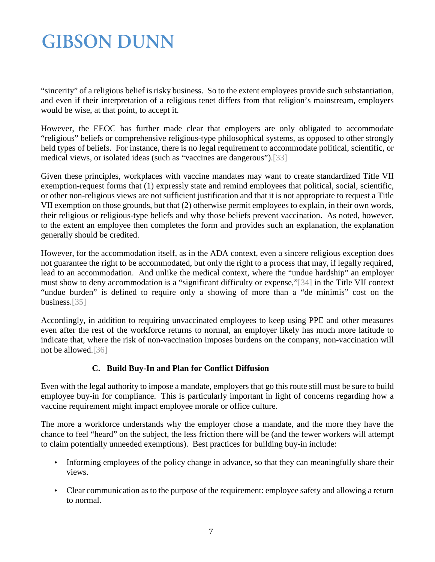"sincerity" of a religious belief is risky business. So to the extent employees provide such substantiation, and even if their interpretation of a religious tenet differs from that religion's mainstream, employers would be wise, at that point, to accept it.

However, the EEOC has further made clear that employers are only obligated to accommodate "religious" beliefs or comprehensive religious-type philosophical systems, as opposed to other strongly held types of beliefs. For instance, there is no legal requirement to accommodate political, scientific, or medical views, or isolated ideas (such as "vaccines are dangerous")[.\[33\]](#page-12-5)

Given these principles, workplaces with vaccine mandates may want to create standardized Title VII exemption-request forms that (1) expressly state and remind employees that political, social, scientific, or other non-religious views are not sufficient justification and that it is not appropriate to request a Title VII exemption on those grounds, but that (2) otherwise permit employees to explain, in their own words, their religious or religious-type beliefs and why those beliefs prevent vaccination. As noted, however, to the extent an employee then completes the form and provides such an explanation, the explanation generally should be credited.

However, for the accommodation itself, as in the ADA context, even a sincere religious exception does not guarantee the right to be accommodated, but only the right to a process that may, if legally required, lead to an accommodation. And unlike the medical context, where the "undue hardship" an employer must show to deny accommodation is a "significant difficulty or expense,["\[34\]](#page-12-6) in the Title VII context "undue burden" is defined to require only a showing of more than a "de minimis" cost on the business[.\[35\]](#page-12-7)

Accordingly, in addition to requiring unvaccinated employees to keep using PPE and other measures even after the rest of the workforce returns to normal, an employer likely has much more latitude to indicate that, where the risk of non-vaccination imposes burdens on the company, non-vaccination will not be allowed[.\[36\]](#page-13-0)

### **C. Build Buy-In and Plan for Conflict Diffusion**

Even with the legal authority to impose a mandate, employers that go this route still must be sure to build employee buy-in for compliance. This is particularly important in light of concerns regarding how a vaccine requirement might impact employee morale or office culture.

The more a workforce understands why the employer chose a mandate, and the more they have the chance to feel "heard" on the subject, the less friction there will be (and the fewer workers will attempt to claim potentially unneeded exemptions). Best practices for building buy-in include:

- ä, Informing employees of the policy change in advance, so that they can meaningfully share their views.
- Clear communication as to the purpose of the requirement: employee safety and allowing a return  $\Box$ to normal.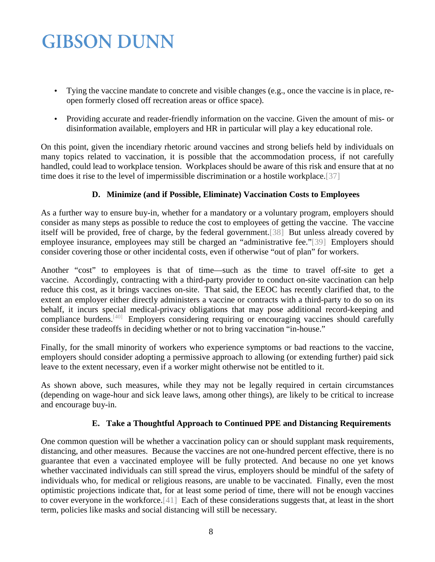- Tying the vaccine mandate to concrete and visible changes (e.g., once the vaccine is in place, reopen formerly closed off recreation areas or office space).
- Providing accurate and reader-friendly information on the vaccine. Given the amount of mis- or Ċ, disinformation available, employers and HR in particular will play a key educational role.

On this point, given the incendiary rhetoric around vaccines and strong beliefs held by individuals on many topics related to vaccination, it is possible that the accommodation process, if not carefully handled, could lead to workplace tension. Workplaces should be aware of this risk and ensure that at no time does it rise to the level of impermissible discrimination or a hostile workplace[.\[37\]](#page-13-1)

### **D. Minimize (and if Possible, Eliminate) Vaccination Costs to Employees**

As a further way to ensure buy-in, whether for a mandatory or a voluntary program, employers should consider as many steps as possible to reduce the cost to employees of getting the vaccine. The vaccine itself will be provided, free of charge, by the federal government[.\[38\]](#page-13-2) But unless already covered by employee insurance, employees may still be charged an "administrative fee.["\[39\]](#page-13-3) Employers should consider covering those or other incidental costs, even if otherwise "out of plan" for workers.

Another "cost" to employees is that of time—such as the time to travel off-site to get a vaccine. Accordingly, contracting with a third-party provider to conduct on-site vaccination can help reduce this cost, as it brings vaccines on-site. That said, the EEOC has recently clarified that, to the extent an employer either directly administers a vaccine or contracts with a third-party to do so on its behalf, it incurs special medical-privacy obligations that may pose additional record-keeping and compliance burdens[.\[40\]](#page-13-4) Employers considering requiring or encouraging vaccines should carefully consider these tradeoffs in deciding whether or not to bring vaccination "in-house."

Finally, for the small minority of workers who experience symptoms or bad reactions to the vaccine, employers should consider adopting a permissive approach to allowing (or extending further) paid sick leave to the extent necessary, even if a worker might otherwise not be entitled to it.

As shown above, such measures, while they may not be legally required in certain circumstances (depending on wage-hour and sick leave laws, among other things), are likely to be critical to increase and encourage buy-in.

### **E. Take a Thoughtful Approach to Continued PPE and Distancing Requirements**

One common question will be whether a vaccination policy can or should supplant mask requirements, distancing, and other measures. Because the vaccines are not one-hundred percent effective, there is no guarantee that even a vaccinated employee will be fully protected. And because no one yet knows whether vaccinated individuals can still spread the virus, employers should be mindful of the safety of individuals who, for medical or religious reasons, are unable to be vaccinated. Finally, even the most optimistic projections indicate that, for at least some period of time, there will not be enough vaccines to cover everyone in the workforce[.\[41\]](#page-13-5) Each of these considerations suggests that, at least in the short term, policies like masks and social distancing will still be necessary.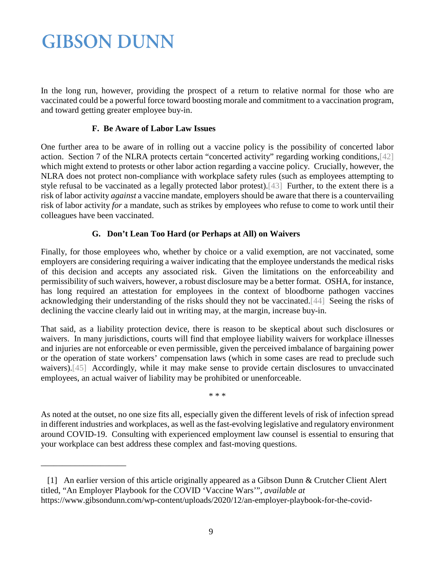<span id="page-8-0"></span>\_\_\_\_\_\_\_\_\_\_\_\_\_\_\_\_\_\_\_\_

In the long run, however, providing the prospect of a return to relative normal for those who are vaccinated could be a powerful force toward boosting morale and commitment to a vaccination program, and toward getting greater employee buy-in.

### **F. Be Aware of Labor Law Issues**

One further area to be aware of in rolling out a vaccine policy is the possibility of concerted labor action. Section 7 of the NLRA protects certain "concerted activity" regarding working conditions[,\[42\]](#page-14-0) which might extend to protests or other labor action regarding a vaccine policy. Crucially, however, the NLRA does not protect non-compliance with workplace safety rules (such as employees attempting to style refusal to be vaccinated as a legally protected labor protest)[.\[43\]](#page-14-1) Further, to the extent there is a risk of labor activity *against* a vaccine mandate, employers should be aware that there is a countervailing risk of labor activity *for* a mandate, such as strikes by employees who refuse to come to work until their colleagues have been vaccinated.

### **G. Don't Lean Too Hard (or Perhaps at All) on Waivers**

Finally, for those employees who, whether by choice or a valid exemption, are not vaccinated, some employers are considering requiring a waiver indicating that the employee understands the medical risks of this decision and accepts any associated risk. Given the limitations on the enforceability and permissibility of such waivers, however, a robust disclosure may be a better format. OSHA, for instance, has long required an attestation for employees in the context of bloodborne pathogen vaccines acknowledging their understanding of the risks should they not be vaccinated[.\[44\]](#page-14-2) Seeing the risks of declining the vaccine clearly laid out in writing may, at the margin, increase buy-in.

That said, as a liability protection device, there is reason to be skeptical about such disclosures or waivers. In many jurisdictions, courts will find that employee liability waivers for workplace illnesses and injuries are not enforceable or even permissible, given the perceived imbalance of bargaining power or the operation of state workers' compensation laws (which in some cases are read to preclude such waivers)[.\[45\]](#page-14-3) Accordingly, while it may make sense to provide certain disclosures to unvaccinated employees, an actual waiver of liability may be prohibited or unenforceable.

\* \* \*

As noted at the outset, no one size fits all, especially given the different levels of risk of infection spread in different industries and workplaces, as well as the fast-evolving legislative and regulatory environment around COVID-19. Consulting with experienced employment law counsel is essential to ensuring that your workplace can best address these complex and fast-moving questions.

 <sup>[1]</sup> An earlier version of this article originally appeared as a Gibson Dunn & Crutcher Client Alert titled, "An Employer Playbook for the COVID 'Vaccine Wars'", *available at*  https://www.gibsondunn.com/wp-content/uploads/2020/12/an-employer-playbook-for-the-covid-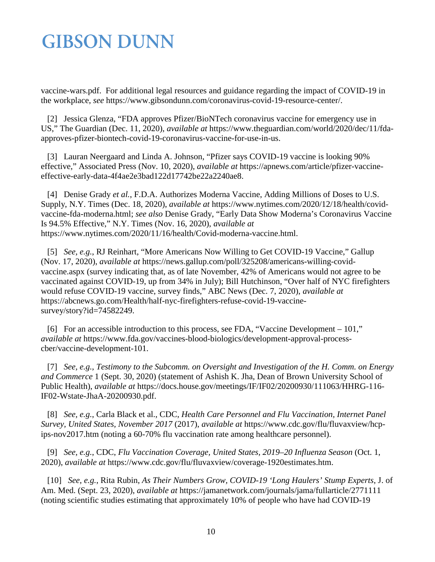vaccine-wars.pdf. For additional legal resources and guidance regarding the impact of COVID-19 in the workplace, *see* https://www.gibsondunn.com/coronavirus-covid-19-resource-center/.

<span id="page-9-0"></span> [2] Jessica Glenza, "FDA approves Pfizer/BioNTech coronavirus vaccine for emergency use in US," The Guardian (Dec. 11, 2020), *available at* https://www.theguardian.com/world/2020/dec/11/fdaapproves-pfizer-biontech-covid-19-coronavirus-vaccine-for-use-in-us.

<span id="page-9-1"></span> [3] Lauran Neergaard and Linda A. Johnson, "Pfizer says COVID-19 vaccine is looking 90% effective," Associated Press (Nov. 10, 2020), *available at* https://apnews.com/article/pfizer-vaccineeffective-early-data-4f4ae2e3bad122d17742be22a2240ae8.

<span id="page-9-2"></span> [4] Denise Grady *et al.*, F.D.A. Authorizes Moderna Vaccine, Adding Millions of Doses to U.S. Supply, N.Y. Times (Dec. 18, 2020), *available at* https://www.nytimes.com/2020/12/18/health/covidvaccine-fda-moderna.html; *see also* Denise Grady, "Early Data Show Moderna's Coronavirus Vaccine Is 94.5% Effective," N.Y. Times (Nov. 16, 2020), *available at* https://www.nytimes.com/2020/11/16/health/Covid-moderna-vaccine.html.

<span id="page-9-3"></span> [5] *See, e.g.*, RJ Reinhart, "More Americans Now Willing to Get COVID-19 Vaccine," Gallup (Nov. 17, 2020), *available at* https://news.gallup.com/poll/325208/americans-willing-covidvaccine.aspx (survey indicating that, as of late November, 42% of Americans would not agree to be vaccinated against COVID-19, up from 34% in July); Bill Hutchinson, "Over half of NYC firefighters would refuse COVID-19 vaccine, survey finds," ABC News (Dec. 7, 2020), *available at*  https://abcnews.go.com/Health/half-nyc-firefighters-refuse-covid-19-vaccinesurvey/story?id=74582249.

<span id="page-9-4"></span> [6] For an accessible introduction to this process, see FDA, "Vaccine Development – 101," *available at* https://www.fda.gov/vaccines-blood-biologics/development-approval-processcber/vaccine-development-101.

<span id="page-9-5"></span> [7] *See, e.g.*, *Testimony to the Subcomm. on Oversight and Investigation of the H. Comm. on Energy and Commerce* 1 (Sept. 30, 2020) (statement of Ashish K. Jha, Dean of Brown University School of Public Health), *available at* https://docs.house.gov/meetings/IF/IF02/20200930/111063/HHRG-116- IF02-Wstate-JhaA-20200930.pdf.

<span id="page-9-6"></span> [8] *See, e.g.*, Carla Black et al., CDC, *Health Care Personnel and Flu Vaccination, Internet Panel Survey, United States, November 2017* (2017), *available at* https://www.cdc.gov/flu/fluvaxview/hcpips-nov2017.htm (noting a 60-70% flu vaccination rate among healthcare personnel).

<span id="page-9-7"></span> [9] *See, e.g.*, CDC, *Flu Vaccination Coverage, United States, 2019–20 Influenza Season* (Oct. 1, 2020), *available at* https://www.cdc.gov/flu/fluvaxview/coverage-1920estimates.htm.

<span id="page-9-8"></span> [10] *See, e.g.*, Rita Rubin, *As Their Numbers Grow, COVID-19 'Long Haulers' Stump Experts*, J. of Am. Med. (Sept. 23, 2020), *available at* https://jamanetwork.com/journals/jama/fullarticle/2771111 (noting scientific studies estimating that approximately 10% of people who have had COVID-19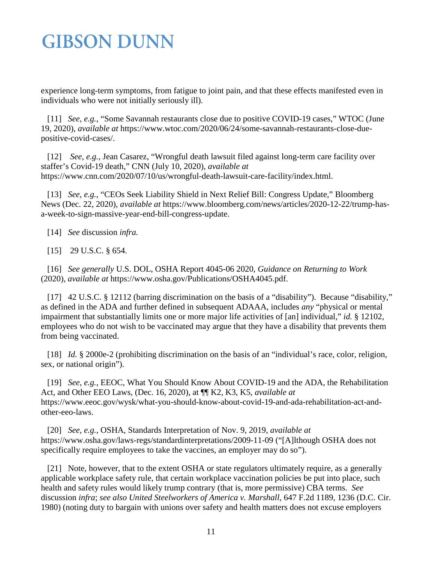experience long-term symptoms, from fatigue to joint pain, and that these effects manifested even in individuals who were not initially seriously ill).

<span id="page-10-0"></span> [11] *See, e.g.*, "Some Savannah restaurants close due to positive COVID-19 cases," WTOC (June 19, 2020), *available at* https://www.wtoc.com/2020/06/24/some-savannah-restaurants-close-duepositive-covid-cases/.

<span id="page-10-1"></span> [12] *See, e.g.*, Jean Casarez, "Wrongful death lawsuit filed against long-term care facility over staffer's Covid-19 death," CNN (July 10, 2020), *available at*  https://www.cnn.com/2020/07/10/us/wrongful-death-lawsuit-care-facility/index.html.

<span id="page-10-2"></span> [13] *See, e.g.*, "CEOs Seek Liability Shield in Next Relief Bill: Congress Update," Bloomberg News (Dec. 22, 2020), *available at* https://www.bloomberg.com/news/articles/2020-12-22/trump-hasa-week-to-sign-massive-year-end-bill-congress-update.

<span id="page-10-4"></span><span id="page-10-3"></span>[14] *See* discussion *infra.*

[15] 29 U.S.C. § 654.

<span id="page-10-5"></span> [16] *See generally* U.S. DOL, OSHA Report 4045-06 2020, *Guidance on Returning to Work* (2020), *available at* https://www.osha.gov/Publications/OSHA4045.pdf.

<span id="page-10-6"></span>[17] 42 U.S.C. § 12112 (barring discrimination on the basis of a "disability"). Because "disability," as defined in the ADA and further defined in subsequent ADAAA, includes *any* "physical or mental impairment that substantially limits one or more major life activities of [an] individual," *id.* § 12102, employees who do not wish to be vaccinated may argue that they have a disability that prevents them from being vaccinated.

<span id="page-10-7"></span> [18] *Id.* § 2000e-2 (prohibiting discrimination on the basis of an "individual's race, color, religion, sex, or national origin").

<span id="page-10-8"></span> [19] *See, e.g.*, EEOC, What You Should Know About COVID-19 and the ADA, the Rehabilitation Act, and Other EEO Laws, (Dec. 16, 2020), at ¶¶ K2, K3, K5, *available at*  https://www.eeoc.gov/wysk/what-you-should-know-about-covid-19-and-ada-rehabilitation-act-andother-eeo-laws.

<span id="page-10-9"></span> [20] *See, e.g.*, OSHA, Standards Interpretation of Nov. 9, 2019, *available at*  https://www.osha.gov/laws-regs/standardinterpretations/2009-11-09 ("[A]lthough OSHA does not specifically require employees to take the vaccines, an employer may do so").

<span id="page-10-10"></span>[21] Note, however, that to the extent OSHA or state regulators ultimately require, as a generally applicable workplace safety rule, that certain workplace vaccination policies be put into place, such health and safety rules would likely trump contrary (that is, more permissive) CBA terms. *See*  discussion *infra*; *see also United Steelworkers of America v. Marshall*, 647 F.2d 1189, 1236 (D.C. Cir. 1980) (noting duty to bargain with unions over safety and health matters does not excuse employers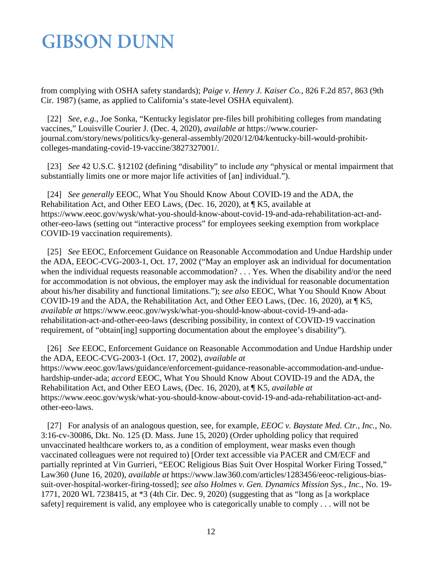from complying with OSHA safety standards); *Paige v. Henry J. Kaiser Co.*, 826 F.2d 857, 863 (9th Cir. 1987) (same, as applied to California's state-level OSHA equivalent).

<span id="page-11-0"></span> [22] *See, e.g.*, Joe Sonka, "Kentucky legislator pre-files bill prohibiting colleges from mandating vaccines," Louisville Courier J. (Dec. 4, 2020), *available at* https://www.courierjournal.com/story/news/politics/ky-general-assembly/2020/12/04/kentucky-bill-would-prohibitcolleges-mandating-covid-19-vaccine/3827327001/.

<span id="page-11-1"></span> [23] *See* 42 U.S.C. §12102 (defining "disability" to include *any* "physical or mental impairment that substantially limits one or more major life activities of [an] individual.").

<span id="page-11-2"></span> [24] *See generally* EEOC*,* What You Should Know About COVID-19 and the ADA, the Rehabilitation Act, and Other EEO Laws, (Dec. 16, 2020), at ¶ K5, available at https://www.eeoc.gov/wysk/what-you-should-know-about-covid-19-and-ada-rehabilitation-act-andother-eeo-laws (setting out "interactive process" for employees seeking exemption from workplace COVID-19 vaccination requirements).

<span id="page-11-3"></span> [25] *See* EEOC, Enforcement Guidance on Reasonable Accommodation and Undue Hardship under the ADA, EEOC-CVG-2003-1, Oct. 17, 2002 ("May an employer ask an individual for documentation when the individual requests reasonable accommodation? . . . Yes. When the disability and/or the need for accommodation is not obvious, the employer may ask the individual for reasonable documentation about his/her disability and functional limitations."); *see also* EEOC, What You Should Know About COVID-19 and the ADA, the Rehabilitation Act, and Other EEO Laws, (Dec. 16, 2020), at ¶ K5, *available at* https://www.eeoc.gov/wysk/what-you-should-know-about-covid-19-and-adarehabilitation-act-and-other-eeo-laws (describing possibility, in context of COVID-19 vaccination requirement, of "obtain[ing] supporting documentation about the employee's disability").

<span id="page-11-4"></span> [26] *See* EEOC, Enforcement Guidance on Reasonable Accommodation and Undue Hardship under the ADA, EEOC-CVG-2003-1 (Oct. 17, 2002), *available at*  https://www.eeoc.gov/laws/guidance/enforcement-guidance-reasonable-accommodation-and-unduehardship-under-ada; *accord* EEOC, What You Should Know About COVID-19 and the ADA, the Rehabilitation Act, and Other EEO Laws, (Dec. 16, 2020), at ¶ K5, *available at*  https://www.eeoc.gov/wysk/what-you-should-know-about-covid-19-and-ada-rehabilitation-act-andother-eeo-laws.

<span id="page-11-5"></span> [27] For analysis of an analogous question, see, for example, *EEOC v. Baystate Med. Ctr., Inc.*, No. 3:16-cv-30086, Dkt. No. 125 (D. Mass. June 15, 2020) (Order upholding policy that required unvaccinated healthcare workers to, as a condition of employment, wear masks even though vaccinated colleagues were not required to) [Order text accessible via PACER and CM/ECF and partially reprinted at Vin Gurrieri, "EEOC Religious Bias Suit Over Hospital Worker Firing Tossed," Law360 (June 16, 2020), *available at* https://www.law360.com/articles/1283456/eeoc-religious-biassuit-over-hospital-worker-firing-tossed]; *see also Holmes v. Gen. Dynamics Mission Sys., Inc.*, No. 19- 1771, 2020 WL 7238415, at \*3 (4th Cir. Dec. 9, 2020) (suggesting that as "long as [a workplace safety] requirement is valid, any employee who is categorically unable to comply . . . will not be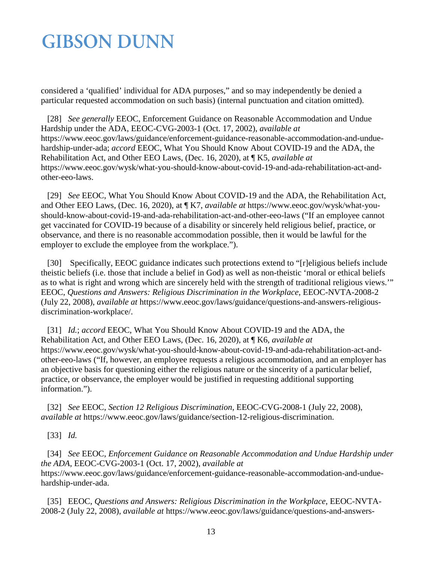considered a 'qualified' individual for ADA purposes," and so may independently be denied a particular requested accommodation on such basis) (internal punctuation and citation omitted).

<span id="page-12-0"></span> [28] *See generally* EEOC, Enforcement Guidance on Reasonable Accommodation and Undue Hardship under the ADA, EEOC-CVG-2003-1 (Oct. 17, 2002), *available at*  https://www.eeoc.gov/laws/guidance/enforcement-guidance-reasonable-accommodation-and-unduehardship-under-ada; *accord* EEOC, What You Should Know About COVID-19 and the ADA, the Rehabilitation Act, and Other EEO Laws, (Dec. 16, 2020), at ¶ K5, *available at*  https://www.eeoc.gov/wysk/what-you-should-know-about-covid-19-and-ada-rehabilitation-act-andother-eeo-laws.

<span id="page-12-1"></span> [29] *See* EEOC, What You Should Know About COVID-19 and the ADA, the Rehabilitation Act, and Other EEO Laws, (Dec. 16, 2020), at ¶ K7, *available at* https://www.eeoc.gov/wysk/what-youshould-know-about-covid-19-and-ada-rehabilitation-act-and-other-eeo-laws ("If an employee cannot get vaccinated for COVID-19 because of a disability or sincerely held religious belief, practice, or observance, and there is no reasonable accommodation possible, then it would be lawful for the employer to exclude the employee from the workplace.").

<span id="page-12-2"></span> [30] Specifically, EEOC guidance indicates such protections extend to "[r]eligious beliefs include theistic beliefs (i.e. those that include a belief in God) as well as non-theistic 'moral or ethical beliefs as to what is right and wrong which are sincerely held with the strength of traditional religious views.'" EEOC, *Questions and Answers: Religious Discrimination in the Workplace*, EEOC-NVTA-2008-2 (July 22, 2008), *available at* https://www.eeoc.gov/laws/guidance/questions-and-answers-religiousdiscrimination-workplace/.

<span id="page-12-3"></span> [31] *Id.*; *accord* EEOC, What You Should Know About COVID-19 and the ADA, the Rehabilitation Act, and Other EEO Laws, (Dec. 16, 2020), at ¶ K6, *available at*  https://www.eeoc.gov/wysk/what-you-should-know-about-covid-19-and-ada-rehabilitation-act-andother-eeo-laws ("If, however, an employee requests a religious accommodation, and an employer has an objective basis for questioning either the religious nature or the sincerity of a particular belief, practice, or observance, the employer would be justified in requesting additional supporting information.").

<span id="page-12-4"></span> [32] *See* EEOC, *Section 12 Religious Discrimination*, EEOC-CVG-2008-1 (July 22, 2008), *available at* https://www.eeoc.gov/laws/guidance/section-12-religious-discrimination.

<span id="page-12-5"></span>[33] *Id.* 

<span id="page-12-6"></span> [34] *See* EEOC, *Enforcement Guidance on Reasonable Accommodation and Undue Hardship under the ADA*, EEOC-CVG-2003-1 (Oct. 17, 2002), *available at*  https://www.eeoc.gov/laws/guidance/enforcement-guidance-reasonable-accommodation-and-unduehardship-under-ada.

<span id="page-12-7"></span> [35] EEOC, *Questions and Answers: Religious Discrimination in the Workplace*, EEOC-NVTA-2008-2 (July 22, 2008), *available at* https://www.eeoc.gov/laws/guidance/questions-and-answers-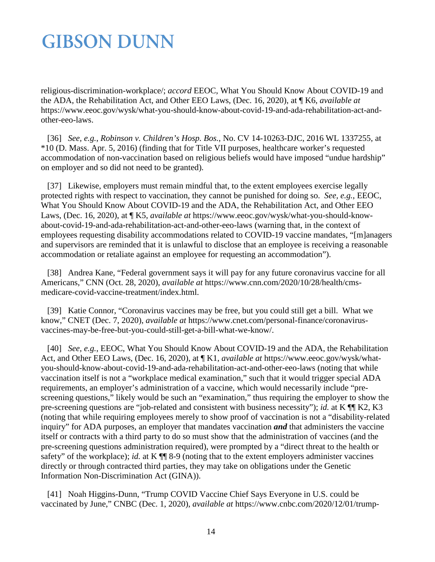religious-discrimination-workplace/; *accord* EEOC, What You Should Know About COVID-19 and the ADA, the Rehabilitation Act, and Other EEO Laws, (Dec. 16, 2020), at ¶ K6, *available at*  https://www.eeoc.gov/wysk/what-you-should-know-about-covid-19-and-ada-rehabilitation-act-andother-eeo-laws.

<span id="page-13-0"></span> [36] *See, e.g.*, *Robinson v. Children's Hosp. Bos.*, No. CV 14-10263-DJC, 2016 WL 1337255, at \*10 (D. Mass. Apr. 5, 2016) (finding that for Title VII purposes, healthcare worker's requested accommodation of non-vaccination based on religious beliefs would have imposed "undue hardship" on employer and so did not need to be granted).

<span id="page-13-1"></span> [37] Likewise, employers must remain mindful that, to the extent employees exercise legally protected rights with respect to vaccination, they cannot be punished for doing so. *See, e.g.*, EEOC, What You Should Know About COVID-19 and the ADA, the Rehabilitation Act, and Other EEO Laws, (Dec. 16, 2020), at ¶ K5, *available at* https://www.eeoc.gov/wysk/what-you-should-knowabout-covid-19-and-ada-rehabilitation-act-and-other-eeo-laws (warning that, in the context of employees requesting disability accommodations related to COVID-19 vaccine mandates, "[m]anagers and supervisors are reminded that it is unlawful to disclose that an employee is receiving a reasonable accommodation or retaliate against an employee for requesting an accommodation").

<span id="page-13-2"></span> [38] Andrea Kane, "Federal government says it will pay for any future coronavirus vaccine for all Americans," CNN (Oct. 28, 2020), *available at* https://www.cnn.com/2020/10/28/health/cmsmedicare-covid-vaccine-treatment/index.html.

<span id="page-13-3"></span> [39] Katie Connor, "Coronavirus vaccines may be free, but you could still get a bill. What we know," CNET (Dec. 7, 2020), *available at* https://www.cnet.com/personal-finance/coronavirusvaccines-may-be-free-but-you-could-still-get-a-bill-what-we-know/.

<span id="page-13-4"></span> [40] *See, e.g.*, EEOC, What You Should Know About COVID-19 and the ADA, the Rehabilitation Act, and Other EEO Laws, (Dec. 16, 2020), at ¶ K1, *available at* https://www.eeoc.gov/wysk/whatyou-should-know-about-covid-19-and-ada-rehabilitation-act-and-other-eeo-laws (noting that while vaccination itself is not a "workplace medical examination," such that it would trigger special ADA requirements, an employer's administration of a vaccine, which would necessarily include "prescreening questions," likely would be such an "examination," thus requiring the employer to show the pre-screening questions are "job-related and consistent with business necessity"); *id.* at K ¶¶ K2, K3 (noting that while requiring employees merely to show proof of vaccination is not a "disability-related inquiry" for ADA purposes, an employer that mandates vaccination *and* that administers the vaccine itself or contracts with a third party to do so must show that the administration of vaccines (and the pre-screening questions administration required), were prompted by a "direct threat to the health or safety" of the workplace); *id.* at K  $\P$  8-9 (noting that to the extent employers administer vaccines directly or through contracted third parties, they may take on obligations under the Genetic Information Non-Discrimination Act (GINA)).

<span id="page-13-5"></span> [41] Noah Higgins-Dunn, "Trump COVID Vaccine Chief Says Everyone in U.S. could be vaccinated by June," CNBC (Dec. 1, 2020), *available at* https://www.cnbc.com/2020/12/01/trump-